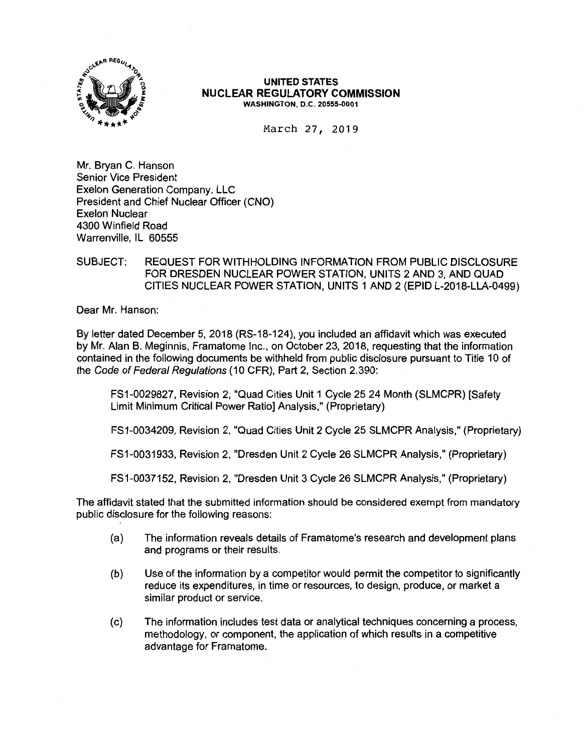

### **UNITED STATES NUCLEAR REGULATORY COMMISSION WASHINGTON,** 0.C. **20555-0001**

March 27, 2019

Mr. Bryan C. Hanson Senior Vice President Exelon Generation Company, LLC President and Chief Nuclear Officer (CNO) Exelon Nuclear 4300 Winfield Road Warrenville, IL 60555

## SUBJECT: REQUEST FOR WITHHOLDING INFORMATION FROM PUBLIC DISCLOSURE FOR DRESDEN NUCLEAR POWER STATION, UNITS 2 AND 3, AND QUAD CITIES NUCLEAR POWER STATION, UNITS 1 AND 2 (EPID L-2018-LLA-0499)

Dear Mr. Hanson:

By letter dated December 5, 2018 (RS-18-124), you included an affidavit which was executed by Mr. Alan B. Meginnis, Framatome Inc., on October 23, 2018, requesting that the information contained in the following documents be withheld from public disclosure pursuant to Title 10 of the Code of Federal Regulations (10 CFR), Part 2, Section 2.390:

FS1-0029827, Revision 2, "Quad Cities Unit 1 Cycle 25 24 Month (SLMCPR) [Safety Limit Minimum Critical Power Ratio] Analysis," (Proprietary)

FS1-0034209, Revision 2, "Quad Cities Unit 2 Cycle 25 SLMCPR Analysis," (Proprietary)

FS1-0031933, Revision 2, "Dresden Unit 2 Cycle 26 SLMCPR Analysis," (Proprietary)

FS1-0037152, Revision 2, "Dresden Unit 3 Cycle 26 SLMCPR Analysis," (Proprietary)

The affidavit stated that the submitted information should be considered exempt from mandatory public disclosure for the following reasons:

- (a) The information reveals details of Framatome's research and development plans and programs or their results.
- (b) Use of the information by a competitor would permit the competitor to significantly reduce its expenditures, in time or resources, to design, produce, or market a similar product or service.
- (c) The information includes test data or analytical techniques concerning a process, methodology, or component, the application of which results in a competitive advantage for Framatome.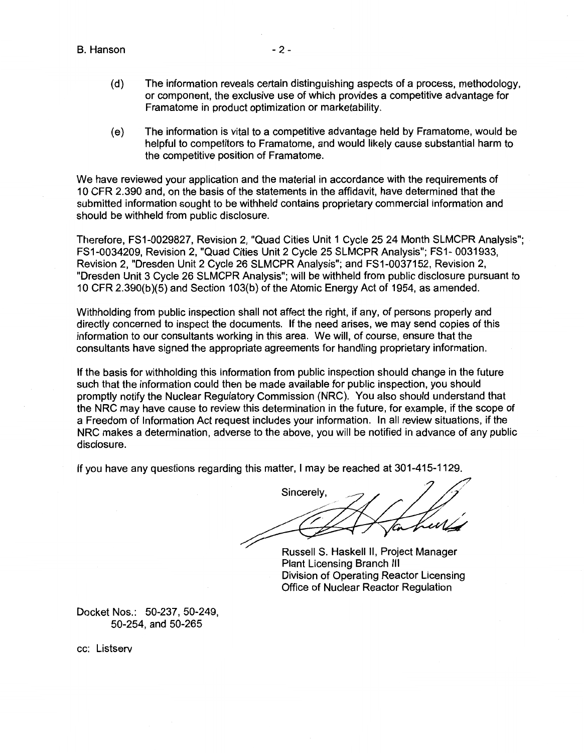B. Hanson

- (d) The information reveals certain distinguishing aspects of a process, methodology, or component, the exclusive use of which provides a competitive advantage for Framatome in product optimization or marketability.
- (e) The information is vital to a competitive advantage held by Framatome, would be helpful to competitors to Framatome, and would likely cause substantial harm to the competitive position of Framatome.

We have reviewed your application and the material in accordance with the requirements of 10 CFR 2.390 and, on the basis of the statements in the affidavit, have determined that the submitted information sought to be withheld contains proprietary commercial information and should be withheld from public disclosure.

Therefore, FS1-0029827, Revision 2, "Quad Cities Unit 1 Cycle 25 24 Month SLMCPR Analysis"; FS1-0034209, Revision 2, "Quad Cities Unit 2 Cycle 25 SLMCPR Analysis"; FS1- 0031933, Revision 2, "Dresden Unit 2 Cycle 26 SLMCPR Analysis"; and FS1-0037152, Revision 2, "Dresden Unit 3 Cycle 26 SLMCPR Analysis"; will be withheld from public disclosure pursuant to 10 CFR 2.390(b)(5) and Section 103(b) of the Atomic Energy Act of 1954, as amended.

Withholding from public inspection shall not affect the right, if any, of persons properly and directly concerned to inspect the documents. If the need arises, we may send copies of this information to our consultants working in this area. We will, of course, ensure that the consultants have signed the appropriate agreements for handling proprietary information.

If the basis for withholding this information from public inspection should change in the future such that the information could then be made available for public inspection, you should promptly notify the Nuclear Regulatory Commission (NRC). You also should understand that the NRC may have cause to review this determination in the future, for example, if the scope of a Freedom of Information Act request includes your information. In all review situations, if the NRC makes a determination, adverse to the above, you will be notified in advance of any public disclosure.

If you have any questions regarding this matter, I may be reached at 301-415-1129.

Sincerely,

Russell S. Haskell II, Project Manager Plant Licensing Branch Ill Division of Operating Reactor Licensing Office of Nuclear Reactor Regulation

Docket Nos.: 50-237, 50-249, 50-254, and 50-265

cc: Listserv